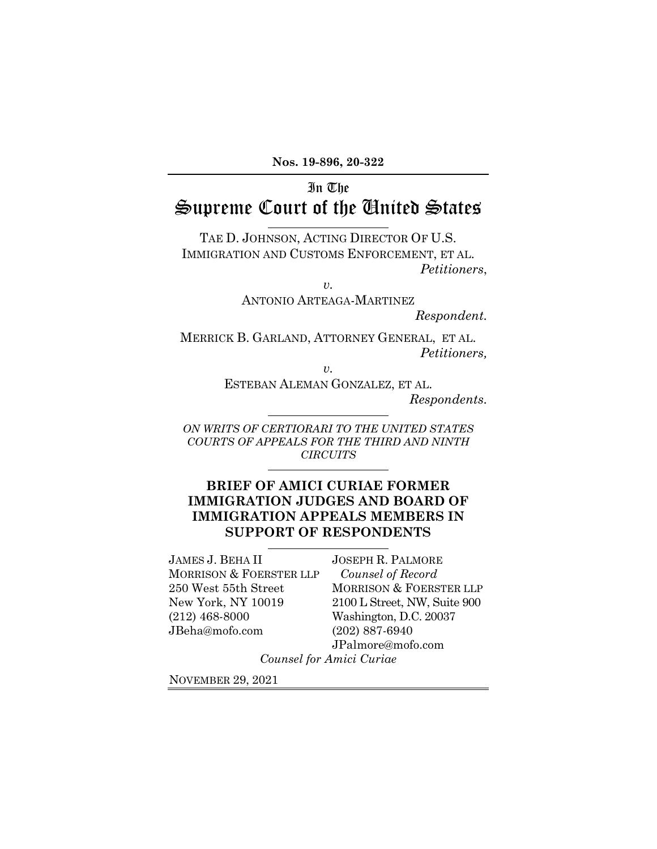# In The Supreme Court of the United States

TAE D. JOHNSON, ACTING DIRECTOR OF U.S. IMMIGRATION AND CUSTOMS ENFORCEMENT, ET AL. *Petitioners*,

> *v.*  ANTONIO ARTEAGA-MARTINEZ

> > *Respondent.*

MERRICK B. GARLAND, ATTORNEY GENERAL, ET AL. *Petitioners,* 

*v.* 

ESTEBAN ALEMAN GONZALEZ, ET AL. *Respondents.* 

*ON WRITS OF CERTIORARI TO THE UNITED STATES COURTS OF APPEALS FOR THE THIRD AND NINTH CIRCUITS* 

### **BRIEF OF AMICI CURIAE FORMER IMMIGRATION JUDGES AND BOARD OF IMMIGRATION APPEALS MEMBERS IN SUPPORT OF RESPONDENTS**

JAMES J. BEHA II MORRISON & FOERSTER LLP 250 West 55th Street New York, NY 10019 (212) 468-8000 JBeha@mofo.com

JOSEPH R. PALMORE *Counsel of Record*  MORRISON & FOERSTER LLP 2100 L Street, NW, Suite 900 Washington, D.C. 20037 (202) 887-6940 JPalmore@mofo.com

*Counsel for Amici Curiae* 

NOVEMBER 29, 2021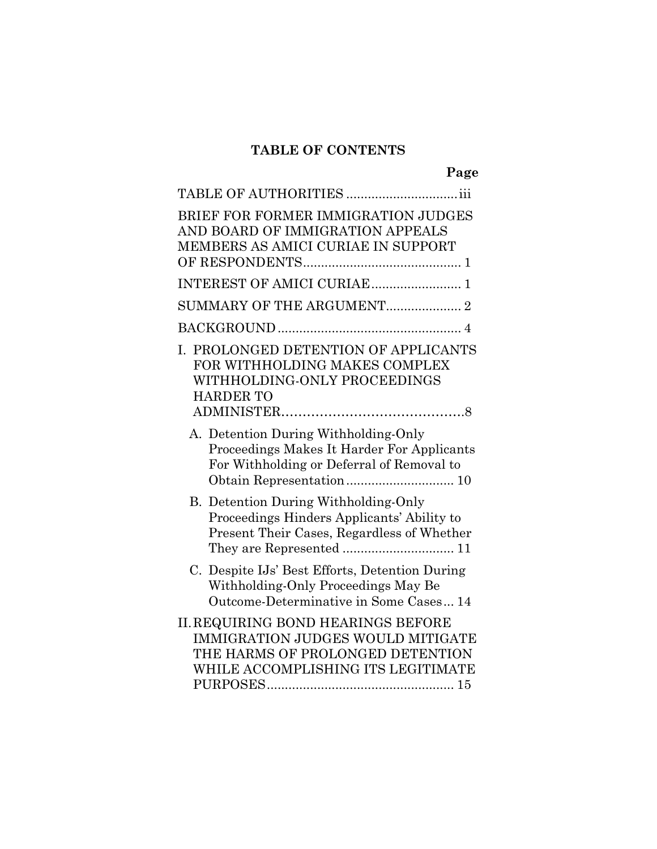## **TABLE OF CONTENTS**

**Page**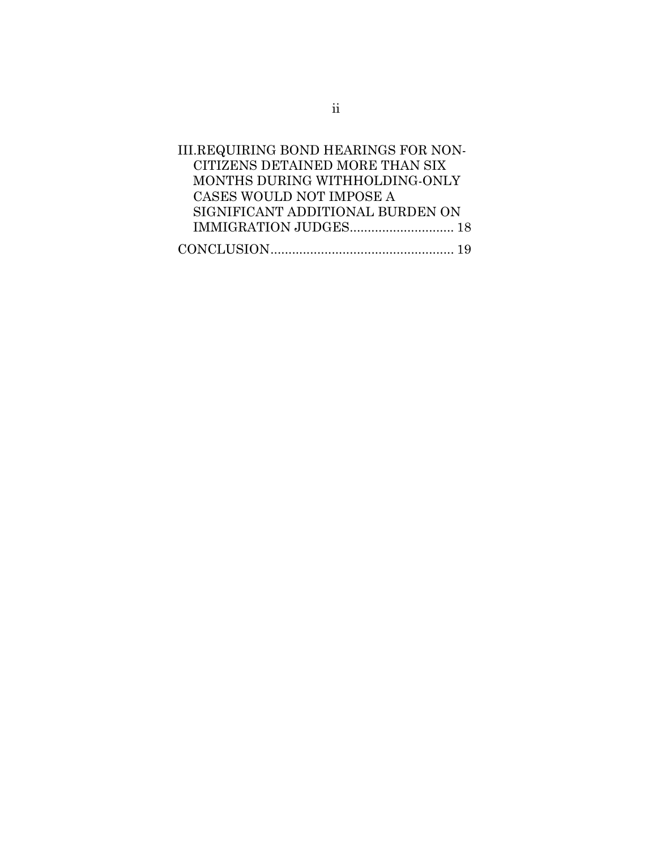| III.REQUIRING BOND HEARINGS FOR NON- |
|--------------------------------------|
| CITIZENS DETAINED MORE THAN SIX      |
| MONTHS DURING WITHHOLDING-ONLY       |
| CASES WOULD NOT IMPOSE A             |
| SIGNIFICANT ADDITIONAL BURDEN ON     |
|                                      |
|                                      |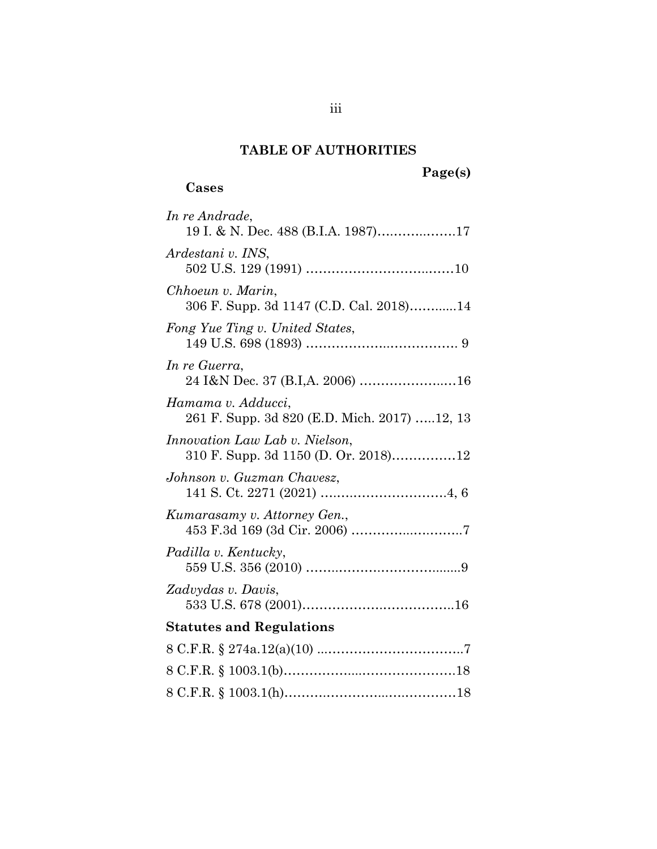## **TABLE OF AUTHORITIES**

## **Cases**

| In re Andrade,<br>19 I. & N. Dec. 488 (B.I.A. 1987)17                         |
|-------------------------------------------------------------------------------|
| Ardestani v. INS,                                                             |
| Chhoeun v. Marin,<br>306 F. Supp. 3d 1147 (C.D. Cal. 2018)14                  |
| Fong Yue Ting v. United States,                                               |
| In re Guerra,<br>24 I&N Dec. 37 (B.I,A. 2006) 16                              |
| Hamama v. Adducci,<br>261 F. Supp. 3d 820 (E.D. Mich. 2017) 12, 13            |
| <i>Innovation Law Lab v. Nielson,</i><br>310 F. Supp. 3d 1150 (D. Or. 2018)12 |
| Johnson v. Guzman Chavesz,                                                    |
| Kumarasamy v. Attorney Gen.,                                                  |
| Padilla v. Kentucky,                                                          |
| Zadvydas v. Davis,                                                            |
| <b>Statutes and Regulations</b>                                               |
|                                                                               |
|                                                                               |
|                                                                               |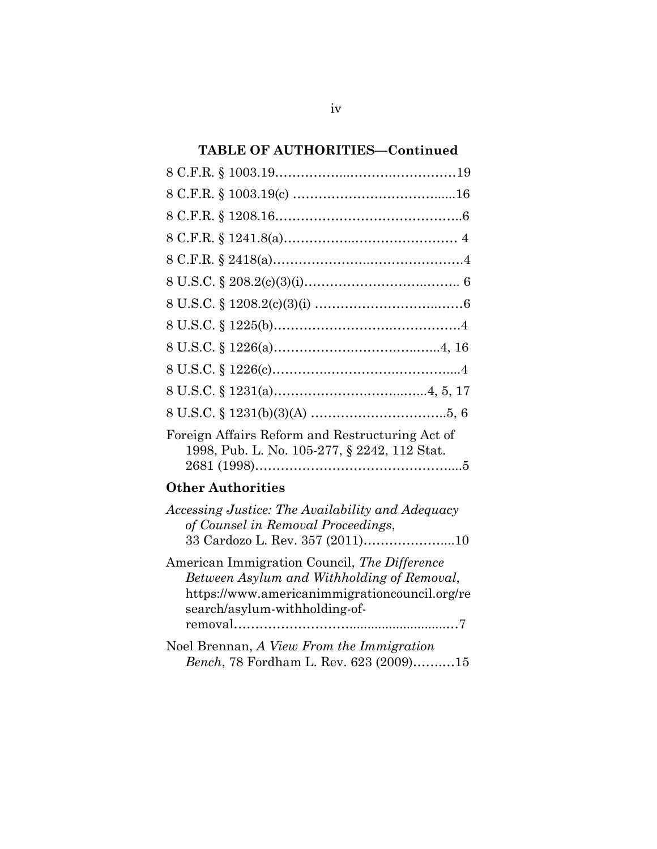## **TABLE OF AUTHORITIES—Continued**

| Foreign Affairs Reform and Restructuring Act of<br>1998, Pub. L. No. 105-277, § 2242, 112 Stat. |
|-------------------------------------------------------------------------------------------------|

## **Other Authorities**

| Accessing Justice: The Availability and Adequacy |
|--------------------------------------------------|
| of Counsel in Removal Proceedings,               |
|                                                  |
|                                                  |

| American Immigration Council, The Difference  |
|-----------------------------------------------|
| Between Asylum and Withholding of Removal,    |
| https://www.americanimmigrationcouncil.org/re |
| search/asylum-withholding-of-                 |
|                                               |
|                                               |

| Noel Brennan, A View From the Immigration      |  |
|------------------------------------------------|--|
| <i>Bench</i> , 78 Fordham L. Rev. 623 (2009)15 |  |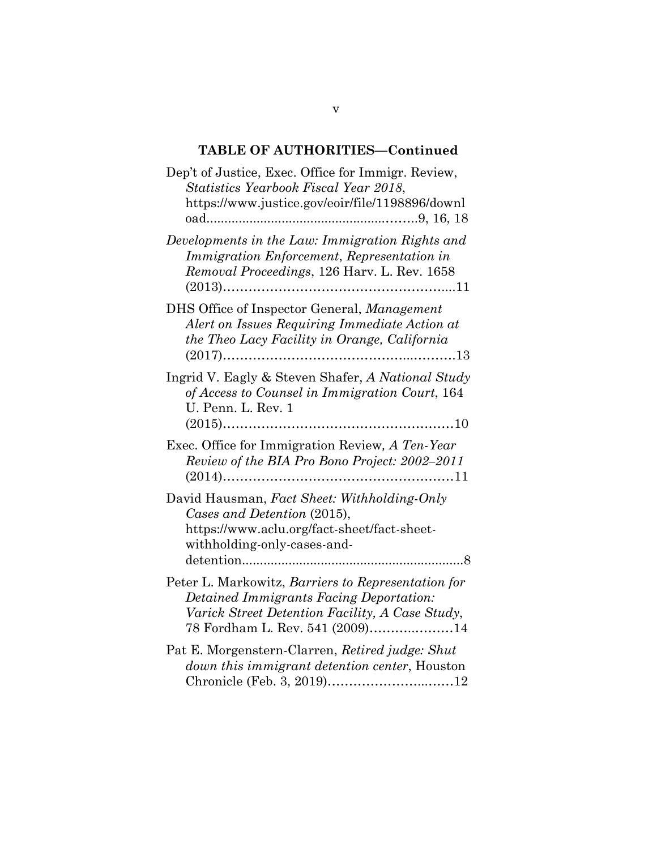## **TABLE OF AUTHORITIES—Continued**

| Dep't of Justice, Exec. Office for Immigr. Review,<br>Statistics Yearbook Fiscal Year 2018,<br>https://www.justice.gov/eoir/file/1198896/downl                                      |
|-------------------------------------------------------------------------------------------------------------------------------------------------------------------------------------|
| Developments in the Law: Immigration Rights and<br>Immigration Enforcement, Representation in<br>Removal Proceedings, 126 Harv. L. Rev. 1658                                        |
| DHS Office of Inspector General, Management<br>Alert on Issues Requiring Immediate Action at<br>the Theo Lacy Facility in Orange, California                                        |
| Ingrid V. Eagly & Steven Shafer, A National Study<br>of Access to Counsel in Immigration Court, 164<br>U. Penn. L. Rev. 1                                                           |
| Exec. Office for Immigration Review, A Ten-Year<br>Review of the BIA Pro Bono Project: 2002-2011                                                                                    |
| David Hausman, Fact Sheet: Withholding-Only<br>Cases and Detention (2015),<br>https://www.aclu.org/fact-sheet/fact-sheet-<br>withholding-only-cases-and-                            |
| Peter L. Markowitz, Barriers to Representation for<br>Detained Immigrants Facing Deportation:<br>Varick Street Detention Facility, A Case Study,<br>78 Fordham L. Rev. 541 (2009)14 |
| Pat E. Morgenstern-Clarren, Retired judge: Shut<br><i>down this immigrant detention center, Houston</i><br>Chronicle (Feb. 3, 2019)12                                               |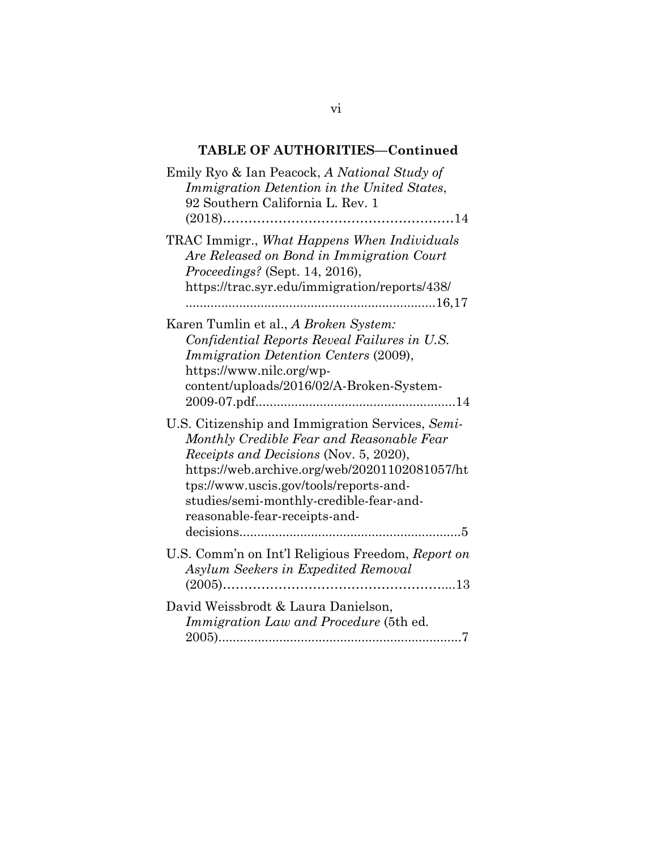## **TABLE OF AUTHORITIES—Continued**

| Emily Ryo & Ian Peacock, A National Study of<br>Immigration Detention in the United States,<br>92 Southern California L. Rev. 1                                                                                                                                                                                |
|----------------------------------------------------------------------------------------------------------------------------------------------------------------------------------------------------------------------------------------------------------------------------------------------------------------|
| TRAC Immigr., What Happens When Individuals<br>Are Released on Bond in Immigration Court<br>Proceedings? (Sept. 14, 2016),<br>https://trac.syr.edu/immigration/reports/438/                                                                                                                                    |
| Karen Tumlin et al., A Broken System:<br>Confidential Reports Reveal Failures in U.S.<br><i>Immigration Detention Centers (2009),</i><br>https://www.nilc.org/wp-<br>content/uploads/2016/02/A-Broken-System-                                                                                                  |
| U.S. Citizenship and Immigration Services, Semi-<br>Monthly Credible Fear and Reasonable Fear<br>Receipts and Decisions (Nov. 5, 2020),<br>https://web.archive.org/web/20201102081057/ht<br>tps://www.uscis.gov/tools/reports-and-<br>studies/semi-monthly-credible-fear-and-<br>reasonable-fear-receipts-and- |
| U.S. Comm'n on Int'l Religious Freedom, Report on<br>Asylum Seekers in Expedited Removal                                                                                                                                                                                                                       |
| David Weissbrodt & Laura Danielson.<br>Immigration Law and Procedure (5th ed.                                                                                                                                                                                                                                  |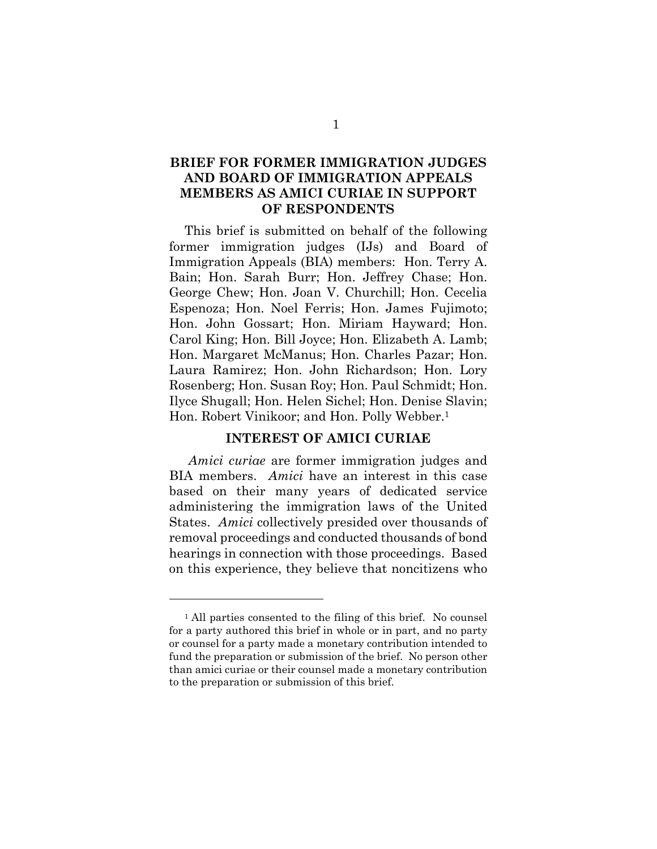### **BRIEF FOR FORMER IMMIGRATION JUDGES AND BOARD OF IMMIGRATION APPEALS MEMBERS AS AMICI CURIAE IN SUPPORT OF RESPONDENTS**

This brief is submitted on behalf of the following former immigration judges (IJs) and Board of Immigration Appeals (BIA) members: Hon. Terry A. Bain; Hon. Sarah Burr; Hon. Jeffrey Chase; Hon. George Chew; Hon. Joan V. Churchill; Hon. Cecelia Espenoza; Hon. Noel Ferris; Hon. James Fujimoto; Hon. John Gossart; Hon. Miriam Hayward; Hon. Carol King; Hon. Bill Joyce; Hon. Elizabeth A. Lamb; Hon. Margaret McManus; Hon. Charles Pazar; Hon. Laura Ramirez; Hon. John Richardson; Hon. Lory Rosenberg; Hon. Susan Roy; Hon. Paul Schmidt; Hon. Ilyce Shugall; Hon. Helen Sichel; Hon. Denise Slavin; Hon. Robert Vinikoor; and Hon. Polly Webber.1

#### **INTEREST OF AMICI CURIAE**

*Amici curiae* are former immigration judges and BIA members. *Amici* have an interest in this case based on their many years of dedicated service administering the immigration laws of the United States. *Amici* collectively presided over thousands of removal proceedings and conducted thousands of bond hearings in connection with those proceedings. Based on this experience, they believe that noncitizens who

<sup>&</sup>lt;sup>1</sup> All parties consented to the filing of this brief. No counsel for a party authored this brief in whole or in part, and no party or counsel for a party made a monetary contribution intended to fund the preparation or submission of the brief. No person other than amici curiae or their counsel made a monetary contribution to the preparation or submission of this brief.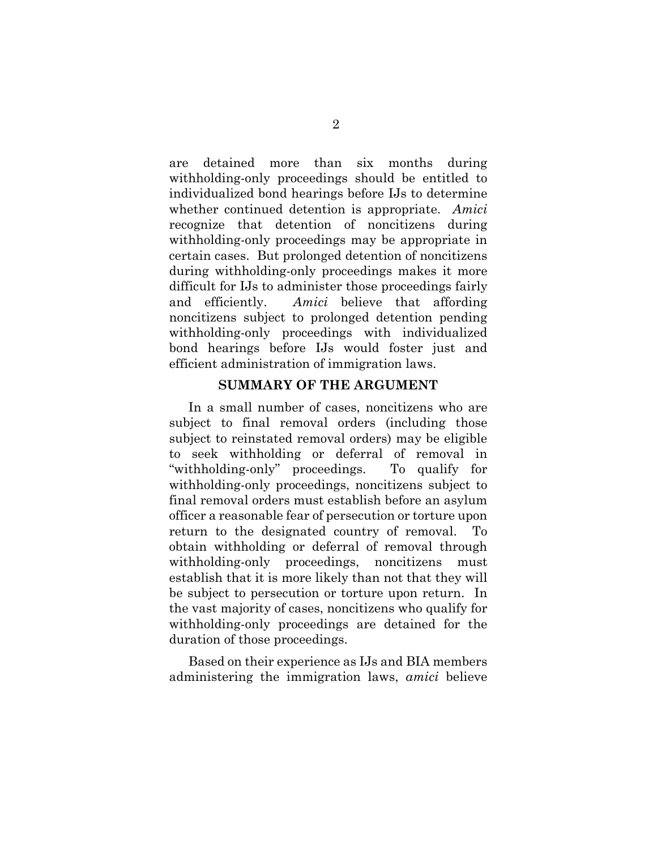are detained more than six months during withholding-only proceedings should be entitled to individualized bond hearings before IJs to determine whether continued detention is appropriate. *Amici*  recognize that detention of noncitizens during withholding-only proceedings may be appropriate in certain cases. But prolonged detention of noncitizens during withholding-only proceedings makes it more difficult for IJs to administer those proceedings fairly and efficiently. *Amici* believe that affording noncitizens subject to prolonged detention pending withholding-only proceedings with individualized bond hearings before IJs would foster just and efficient administration of immigration laws.

#### **SUMMARY OF THE ARGUMENT**

In a small number of cases, noncitizens who are subject to final removal orders (including those subject to reinstated removal orders) may be eligible to seek withholding or deferral of removal in "withholding-only" proceedings. To qualify for withholding-only proceedings, noncitizens subject to final removal orders must establish before an asylum officer a reasonable fear of persecution or torture upon return to the designated country of removal. To obtain withholding or deferral of removal through withholding-only proceedings, noncitizens must establish that it is more likely than not that they will be subject to persecution or torture upon return. In the vast majority of cases, noncitizens who qualify for withholding-only proceedings are detained for the duration of those proceedings.

Based on their experience as IJs and BIA members administering the immigration laws, *amici* believe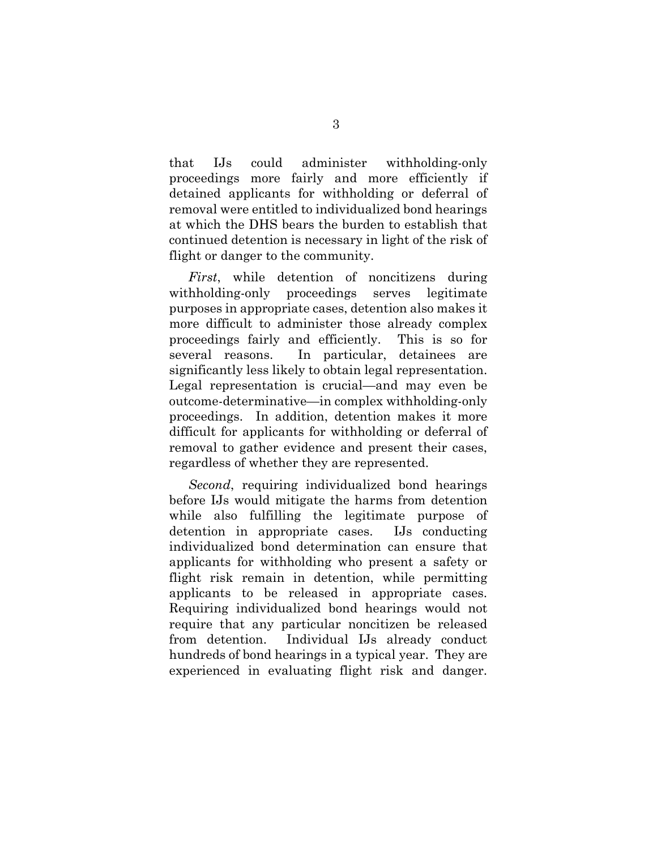that IJs could administer withholding-only proceedings more fairly and more efficiently if detained applicants for withholding or deferral of removal were entitled to individualized bond hearings at which the DHS bears the burden to establish that continued detention is necessary in light of the risk of flight or danger to the community.

*First*, while detention of noncitizens during withholding-only proceedings serves legitimate purposes in appropriate cases, detention also makes it more difficult to administer those already complex proceedings fairly and efficiently. This is so for several reasons. In particular, detainees are significantly less likely to obtain legal representation. Legal representation is crucial—and may even be outcome-determinative—in complex withholding-only proceedings. In addition, detention makes it more difficult for applicants for withholding or deferral of removal to gather evidence and present their cases, regardless of whether they are represented.

*Second*, requiring individualized bond hearings before IJs would mitigate the harms from detention while also fulfilling the legitimate purpose of detention in appropriate cases. IJs conducting individualized bond determination can ensure that applicants for withholding who present a safety or flight risk remain in detention, while permitting applicants to be released in appropriate cases. Requiring individualized bond hearings would not require that any particular noncitizen be released from detention. Individual IJs already conduct hundreds of bond hearings in a typical year. They are experienced in evaluating flight risk and danger.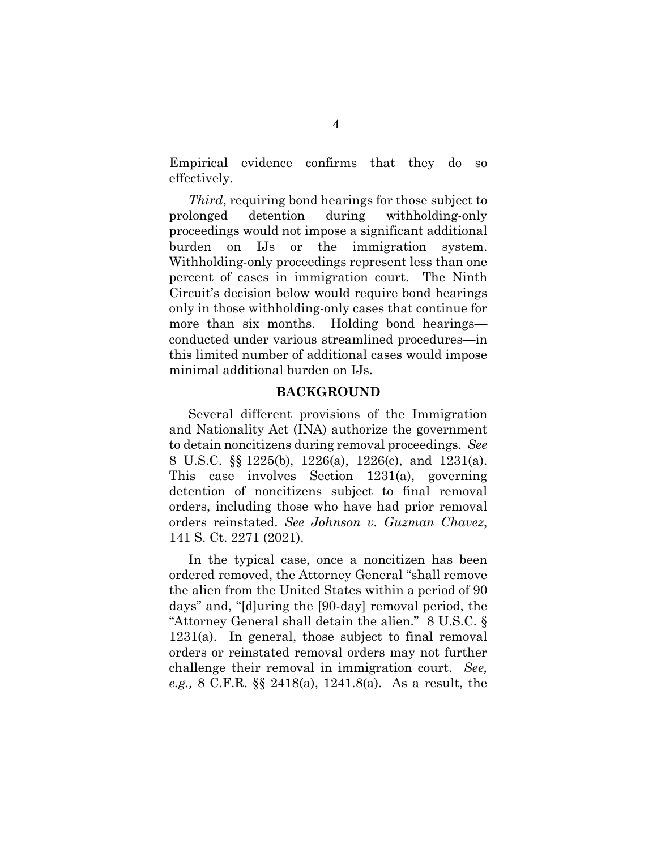Empirical evidence confirms that they do so effectively.

*Third*, requiring bond hearings for those subject to prolonged detention during withholding-only proceedings would not impose a significant additional burden on IJs or the immigration system. Withholding-only proceedings represent less than one percent of cases in immigration court. The Ninth Circuit's decision below would require bond hearings only in those withholding-only cases that continue for more than six months. Holding bond hearings conducted under various streamlined procedures—in this limited number of additional cases would impose minimal additional burden on IJs.

#### **BACKGROUND**

Several different provisions of the Immigration and Nationality Act (INA) authorize the government to detain noncitizens during removal proceedings. *See*  8 U.S.C. §§ 1225(b), 1226(a), 1226(c), and 1231(a). This case involves Section 1231(a), governing detention of noncitizens subject to final removal orders, including those who have had prior removal orders reinstated. *See Johnson v. Guzman Chavez*, 141 S. Ct. 2271 (2021).

In the typical case, once a noncitizen has been ordered removed, the Attorney General "shall remove the alien from the United States within a period of 90 days" and, "[d]uring the [90-day] removal period, the "Attorney General shall detain the alien." 8 U.S.C. § 1231(a). In general, those subject to final removal orders or reinstated removal orders may not further challenge their removal in immigration court. *See, e.g.,* 8 C.F.R. §§ 2418(a), 1241.8(a). As a result, the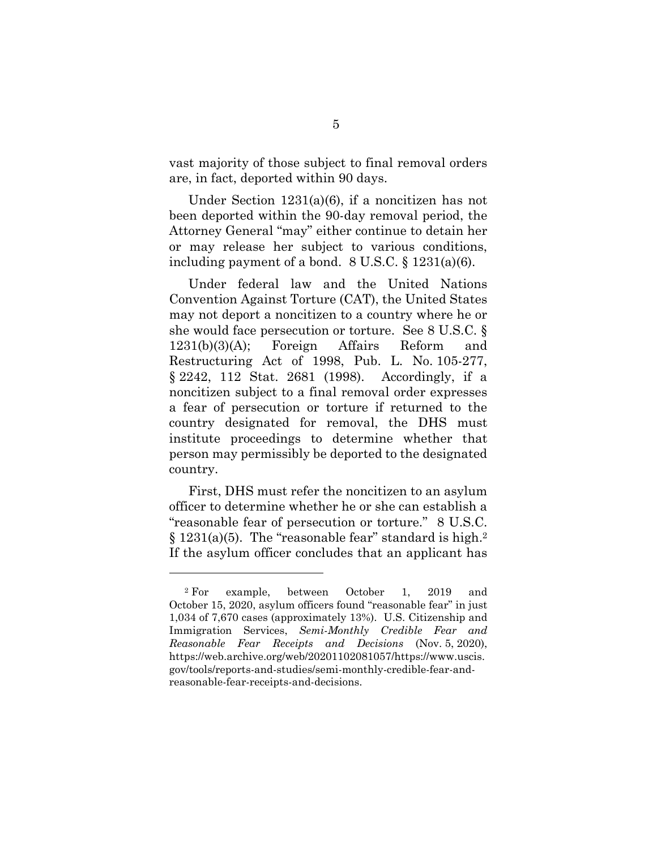vast majority of those subject to final removal orders are, in fact, deported within 90 days.

Under Section 1231(a)(6), if a noncitizen has not been deported within the 90-day removal period, the Attorney General "may" either continue to detain her or may release her subject to various conditions, including payment of a bond. 8 U.S.C. § 1231(a)(6).

Under federal law and the United Nations Convention Against Torture (CAT), the United States may not deport a noncitizen to a country where he or she would face persecution or torture. See 8 U.S.C. § 1231(b)(3)(A); Foreign Affairs Reform and Restructuring Act of 1998, Pub. L. No. 105-277, § 2242, 112 Stat. 2681 (1998). Accordingly, if a noncitizen subject to a final removal order expresses a fear of persecution or torture if returned to the country designated for removal, the DHS must institute proceedings to determine whether that person may permissibly be deported to the designated country.

First, DHS must refer the noncitizen to an asylum officer to determine whether he or she can establish a "reasonable fear of persecution or torture." 8 U.S.C. § 1231(a)(5). The "reasonable fear" standard is high.2 If the asylum officer concludes that an applicant has

<sup>2</sup> For example, between October 1, 2019 and October 15, 2020, asylum officers found "reasonable fear" in just 1,034 of 7,670 cases (approximately 13%). U.S. Citizenship and Immigration Services, *Semi-Monthly Credible Fear and Reasonable Fear Receipts and Decisions* (Nov. 5, 2020), https://web.archive.org/web/20201102081057/https://www.uscis. gov/tools/reports-and-studies/semi-monthly-credible-fear-andreasonable-fear-receipts-and-decisions.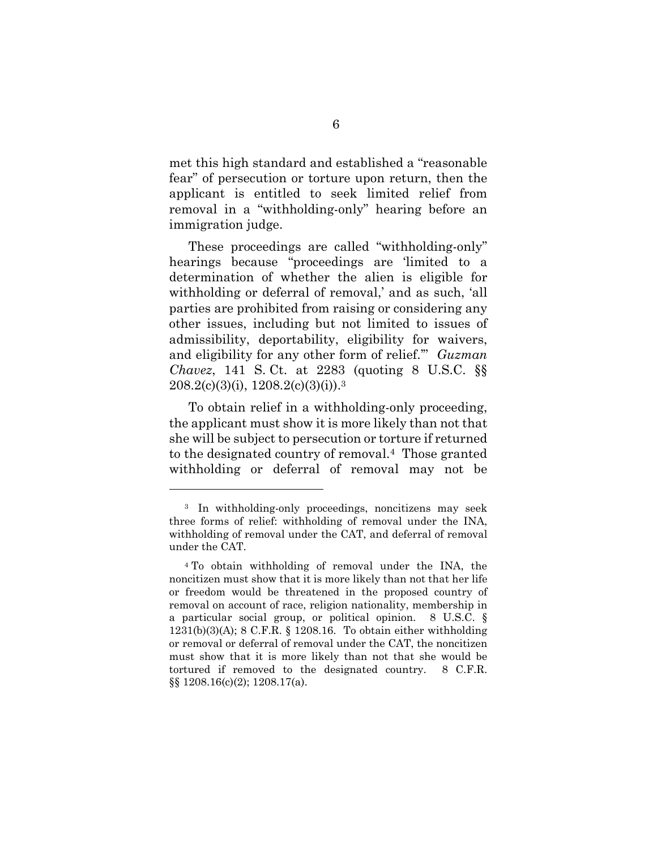met this high standard and established a "reasonable fear" of persecution or torture upon return, then the applicant is entitled to seek limited relief from removal in a "withholding-only" hearing before an immigration judge.

These proceedings are called "withholding-only" hearings because "proceedings are 'limited to a determination of whether the alien is eligible for withholding or deferral of removal,' and as such, 'all parties are prohibited from raising or considering any other issues, including but not limited to issues of admissibility, deportability, eligibility for waivers, and eligibility for any other form of relief.'" *Guzman Chavez*, 141 S. Ct. at 2283 (quoting 8 U.S.C. §§  $208.2(c)(3)(i), 1208.2(c)(3)(i).$ <sup>3</sup>

To obtain relief in a withholding-only proceeding, the applicant must show it is more likely than not that she will be subject to persecution or torture if returned to the designated country of removal.4 Those granted withholding or deferral of removal may not be

<sup>3</sup> In withholding-only proceedings, noncitizens may seek three forms of relief: withholding of removal under the INA, withholding of removal under the CAT, and deferral of removal under the CAT.

<sup>4</sup> To obtain withholding of removal under the INA, the noncitizen must show that it is more likely than not that her life or freedom would be threatened in the proposed country of removal on account of race, religion nationality, membership in a particular social group, or political opinion. 8 U.S.C. § 1231(b)(3)(A); 8 C.F.R. § 1208.16. To obtain either withholding or removal or deferral of removal under the CAT, the noncitizen must show that it is more likely than not that she would be tortured if removed to the designated country. 8 C.F.R. §§ 1208.16(c)(2); 1208.17(a).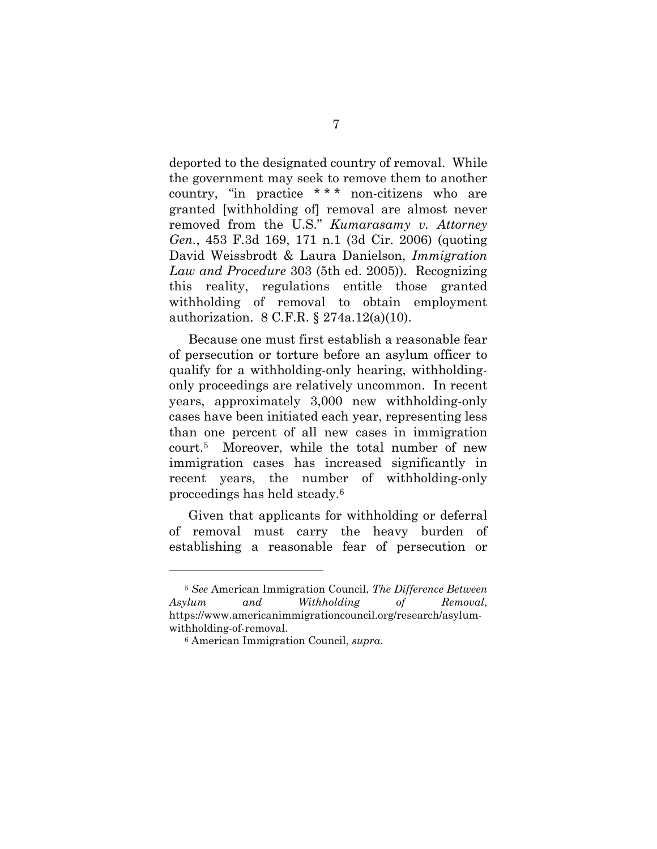deported to the designated country of removal. While the government may seek to remove them to another country, "in practice \* \* \* non-citizens who are granted [withholding of] removal are almost never removed from the U.S." *Kumarasamy v. Attorney Gen.*, 453 F.3d 169, 171 n.1 (3d Cir. 2006) (quoting David Weissbrodt & Laura Danielson, *Immigration Law and Procedure* 303 (5th ed. 2005)). Recognizing this reality, regulations entitle those granted withholding of removal to obtain employment authorization. 8 C.F.R. § 274a.12(a)(10).

Because one must first establish a reasonable fear of persecution or torture before an asylum officer to qualify for a withholding-only hearing, withholdingonly proceedings are relatively uncommon. In recent years, approximately 3,000 new withholding-only cases have been initiated each year, representing less than one percent of all new cases in immigration court.5 Moreover, while the total number of new immigration cases has increased significantly in recent years, the number of withholding-only proceedings has held steady.6

Given that applicants for withholding or deferral of removal must carry the heavy burden of establishing a reasonable fear of persecution or

<sup>5</sup> *See* American Immigration Council, *The Difference Between Asylum and Withholding of Removal*, https://www.americanimmigrationcouncil.org/research/asylumwithholding-of-removal.

<sup>6</sup> American Immigration Council, *supra*.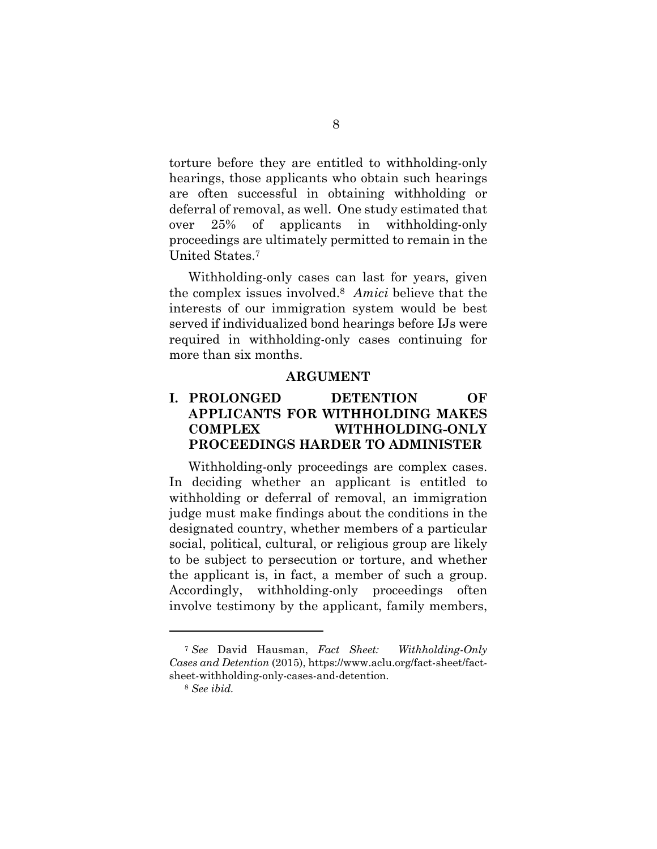torture before they are entitled to withholding-only hearings, those applicants who obtain such hearings are often successful in obtaining withholding or deferral of removal, as well. One study estimated that over 25% of applicants in withholding-only proceedings are ultimately permitted to remain in the United States.7

Withholding-only cases can last for years, given the complex issues involved.8 *Amici* believe that the interests of our immigration system would be best served if individualized bond hearings before IJs were required in withholding-only cases continuing for more than six months.

#### **ARGUMENT**

### **I. PROLONGED DETENTION OF APPLICANTS FOR WITHHOLDING MAKES COMPLEX WITHHOLDING-ONLY PROCEEDINGS HARDER TO ADMINISTER**

Withholding-only proceedings are complex cases. In deciding whether an applicant is entitled to withholding or deferral of removal, an immigration judge must make findings about the conditions in the designated country, whether members of a particular social, political, cultural, or religious group are likely to be subject to persecution or torture, and whether the applicant is, in fact, a member of such a group. Accordingly, withholding-only proceedings often involve testimony by the applicant, family members,

<sup>7</sup> *See* David Hausman, *Fact Sheet: Withholding-Only Cases and Detention* (2015), https://www.aclu.org/fact-sheet/factsheet-withholding-only-cases-and-detention.

<sup>8</sup> *See ibid.*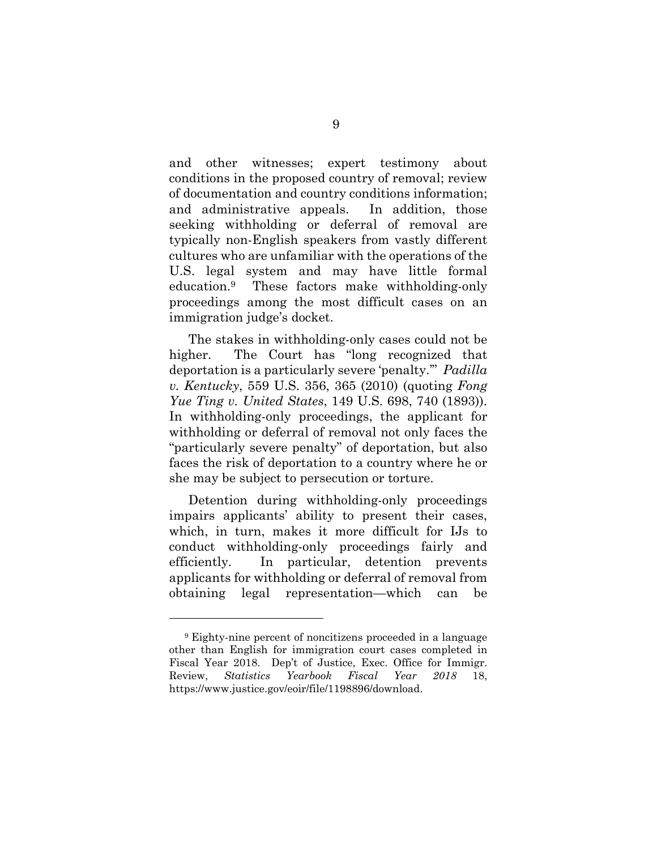and other witnesses; expert testimony about conditions in the proposed country of removal; review of documentation and country conditions information; and administrative appeals. In addition, those seeking withholding or deferral of removal are typically non-English speakers from vastly different cultures who are unfamiliar with the operations of the U.S. legal system and may have little formal education.9 These factors make withholding-only proceedings among the most difficult cases on an immigration judge's docket.

The stakes in withholding-only cases could not be higher. The Court has "long recognized that deportation is a particularly severe 'penalty.'" *Padilla v. Kentucky*, 559 U.S. 356, 365 (2010) (quoting *Fong Yue Ting v. United States*, 149 U.S. 698, 740 (1893)). In withholding-only proceedings, the applicant for withholding or deferral of removal not only faces the "particularly severe penalty" of deportation, but also faces the risk of deportation to a country where he or she may be subject to persecution or torture.

Detention during withholding-only proceedings impairs applicants' ability to present their cases, which, in turn, makes it more difficult for IJs to conduct withholding-only proceedings fairly and efficiently. In particular, detention prevents applicants for withholding or deferral of removal from obtaining legal representation—which can be

<sup>9</sup> Eighty-nine percent of noncitizens proceeded in a language other than English for immigration court cases completed in Fiscal Year 2018. Dep't of Justice, Exec. Office for Immigr. Review, *Statistics Yearbook Fiscal Year 2018* 18, https://www.justice.gov/eoir/file/1198896/download.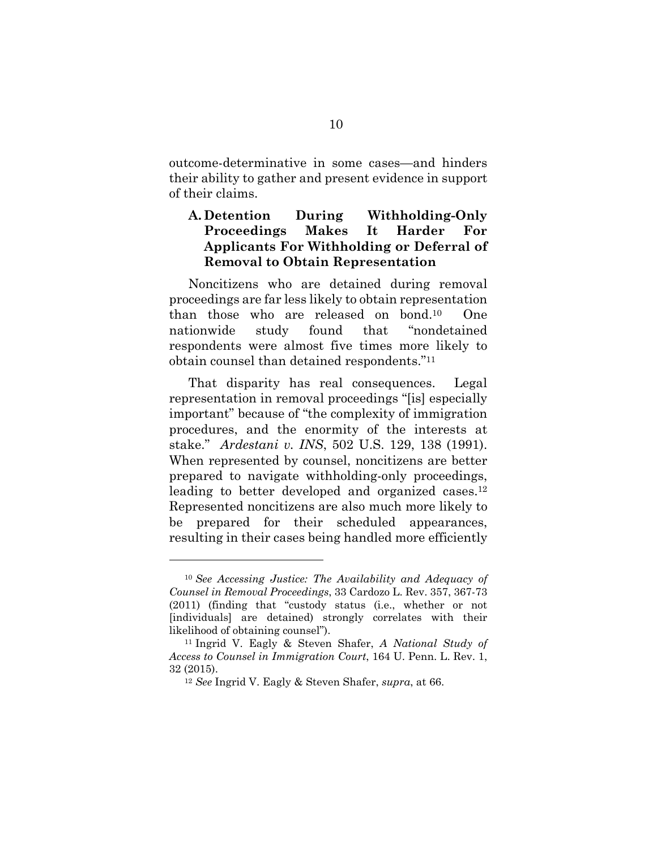outcome-determinative in some cases—and hinders their ability to gather and present evidence in support of their claims.

### **A. Detention During Withholding-Only Proceedings Makes It Harder For Applicants For Withholding or Deferral of Removal to Obtain Representation**

Noncitizens who are detained during removal proceedings are far less likely to obtain representation than those who are released on bond.10 One nationwide study found that "nondetained respondents were almost five times more likely to obtain counsel than detained respondents."11

That disparity has real consequences. Legal representation in removal proceedings "[is] especially important" because of "the complexity of immigration procedures, and the enormity of the interests at stake." *Ardestani v. INS*, 502 U.S. 129, 138 (1991). When represented by counsel, noncitizens are better prepared to navigate withholding-only proceedings, leading to better developed and organized cases.<sup>12</sup> Represented noncitizens are also much more likely to be prepared for their scheduled appearances, resulting in their cases being handled more efficiently

<sup>10</sup> *See Accessing Justice: The Availability and Adequacy of Counsel in Removal Proceedings*, 33 Cardozo L. Rev. 357, 367-73 (2011) (finding that "custody status (i.e., whether or not [individuals] are detained) strongly correlates with their

likelihood of obtaining counsel"). 11 Ingrid V. Eagly & Steven Shafer, *A National Study of Access to Counsel in Immigration Court*, 164 U. Penn. L. Rev. 1, 32 (2015). 12 *See* Ingrid V. Eagly & Steven Shafer, *supra*, at 66.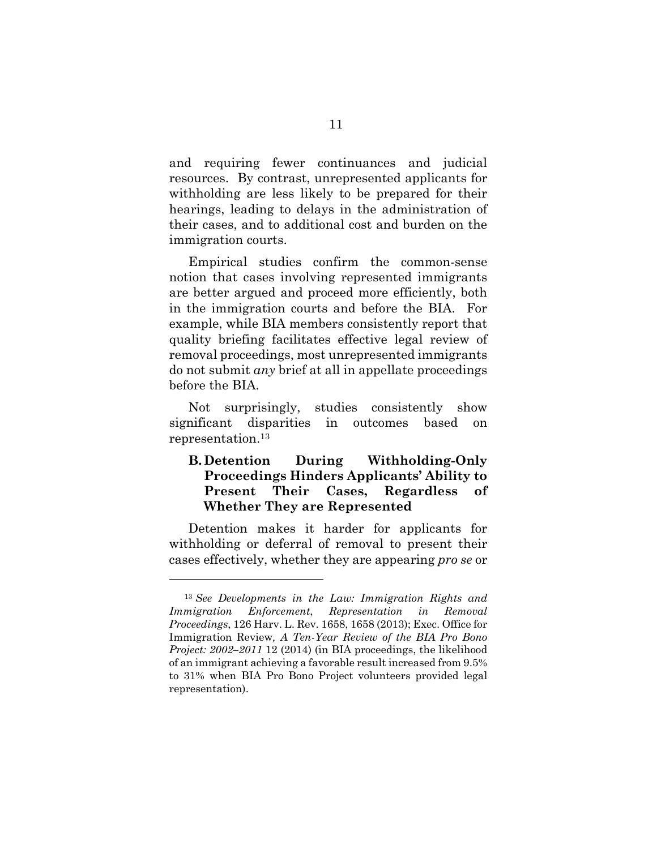and requiring fewer continuances and judicial resources. By contrast, unrepresented applicants for withholding are less likely to be prepared for their hearings, leading to delays in the administration of their cases, and to additional cost and burden on the immigration courts.

Empirical studies confirm the common-sense notion that cases involving represented immigrants are better argued and proceed more efficiently, both in the immigration courts and before the BIA. For example, while BIA members consistently report that quality briefing facilitates effective legal review of removal proceedings, most unrepresented immigrants do not submit *any* brief at all in appellate proceedings before the BIA.

Not surprisingly, studies consistently show significant disparities in outcomes based on representation.13

## **B. Detention During Withholding-Only Proceedings Hinders Applicants' Ability to Present Their Cases, Regardless of Whether They are Represented**

Detention makes it harder for applicants for withholding or deferral of removal to present their cases effectively, whether they are appearing *pro se* or

<sup>13</sup> *See Developments in the Law: Immigration Rights and Immigration Enforcement*, *Representation in Removal Proceedings*, 126 Harv. L. Rev. 1658, 1658 (2013); Exec. Office for Immigration Review*, A Ten-Year Review of the BIA Pro Bono Project: 2002–2011* 12 (2014) (in BIA proceedings, the likelihood of an immigrant achieving a favorable result increased from 9.5% to 31% when BIA Pro Bono Project volunteers provided legal representation).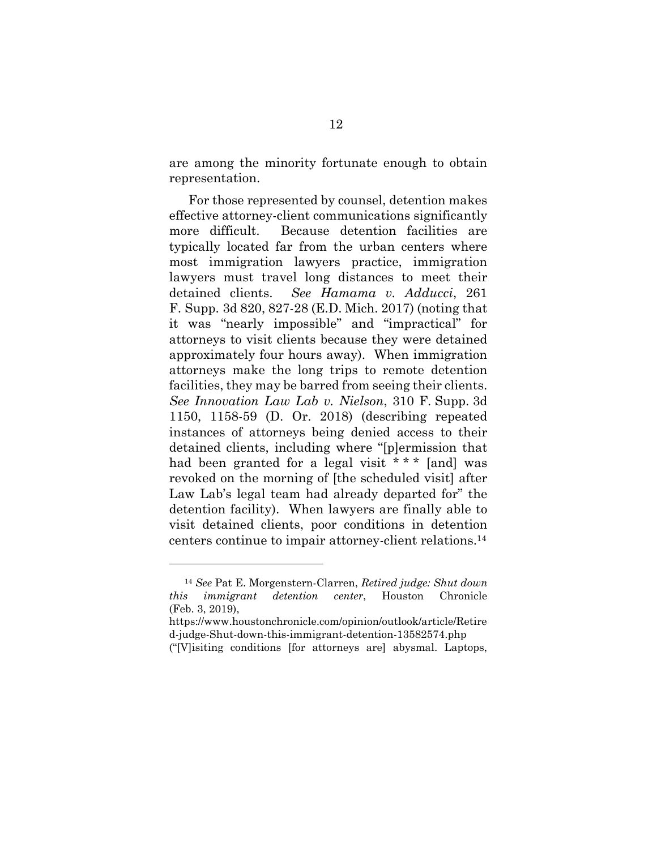are among the minority fortunate enough to obtain representation.

For those represented by counsel, detention makes effective attorney-client communications significantly more difficult. Because detention facilities are typically located far from the urban centers where most immigration lawyers practice, immigration lawyers must travel long distances to meet their detained clients. *See Hamama v. Adducci*, 261 F. Supp. 3d 820, 827-28 (E.D. Mich. 2017) (noting that it was "nearly impossible" and "impractical" for attorneys to visit clients because they were detained approximately four hours away). When immigration attorneys make the long trips to remote detention facilities, they may be barred from seeing their clients. *See Innovation Law Lab v. Nielson*, 310 F. Supp. 3d 1150, 1158-59 (D. Or. 2018) (describing repeated instances of attorneys being denied access to their detained clients, including where "[p]ermission that had been granted for a legal visit \* \* \* [and] was revoked on the morning of [the scheduled visit] after Law Lab's legal team had already departed for" the detention facility). When lawyers are finally able to visit detained clients, poor conditions in detention centers continue to impair attorney-client relations.14

 $\overline{a}$ 

<sup>14</sup> *See* Pat E. Morgenstern-Clarren, *Retired judge: Shut down this immigrant detention center*, Houston Chronicle (Feb. 3, 2019),

https://www.houstonchronicle.com/opinion/outlook/article/Retire d-judge-Shut-down-this-immigrant-detention-13582574.php

<sup>(&</sup>quot;[V]isiting conditions [for attorneys are] abysmal. Laptops,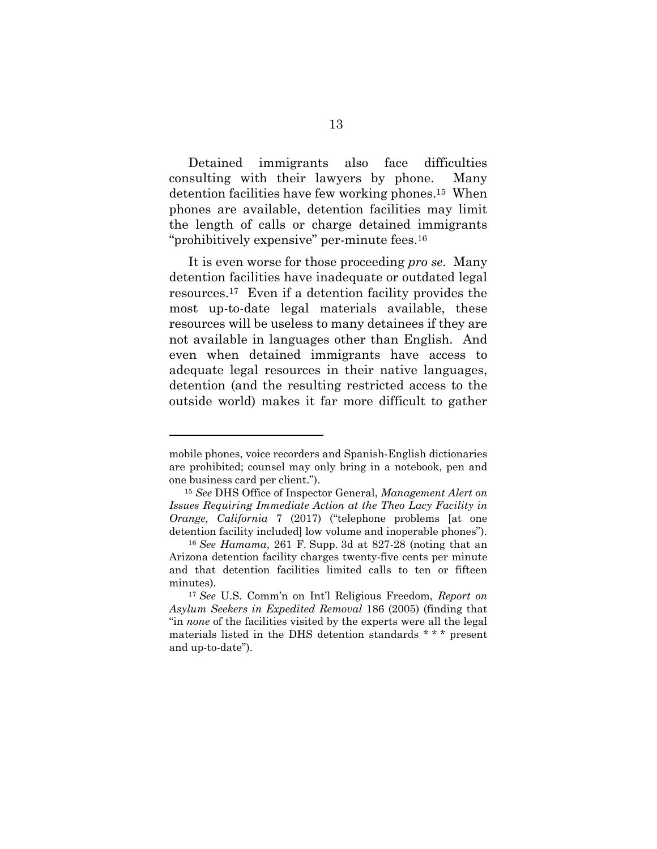Detained immigrants also face difficulties consulting with their lawyers by phone. Many detention facilities have few working phones.15 When phones are available, detention facilities may limit the length of calls or charge detained immigrants "prohibitively expensive" per-minute fees.<sup>16</sup>

It is even worse for those proceeding *pro se*. Many detention facilities have inadequate or outdated legal resources.17 Even if a detention facility provides the most up-to-date legal materials available, these resources will be useless to many detainees if they are not available in languages other than English. And even when detained immigrants have access to adequate legal resources in their native languages, detention (and the resulting restricted access to the outside world) makes it far more difficult to gather

mobile phones, voice recorders and Spanish-English dictionaries are prohibited; counsel may only bring in a notebook, pen and one business card per client.").

<sup>15</sup> *See* DHS Office of Inspector General, *Management Alert on Issues Requiring Immediate Action at the Theo Lacy Facility in Orange, California* 7 (2017) ("telephone problems [at one detention facility included] low volume and inoperable phones").

<sup>16</sup> *See Hamama*, 261 F. Supp. 3d at 827-28 (noting that an Arizona detention facility charges twenty-five cents per minute and that detention facilities limited calls to ten or fifteen minutes).

<sup>17</sup> *See* U.S. Comm'n on Int'l Religious Freedom, *Report on Asylum Seekers in Expedited Removal* 186 (2005) (finding that "in *none* of the facilities visited by the experts were all the legal materials listed in the DHS detention standards \* \* \* present and up-to-date").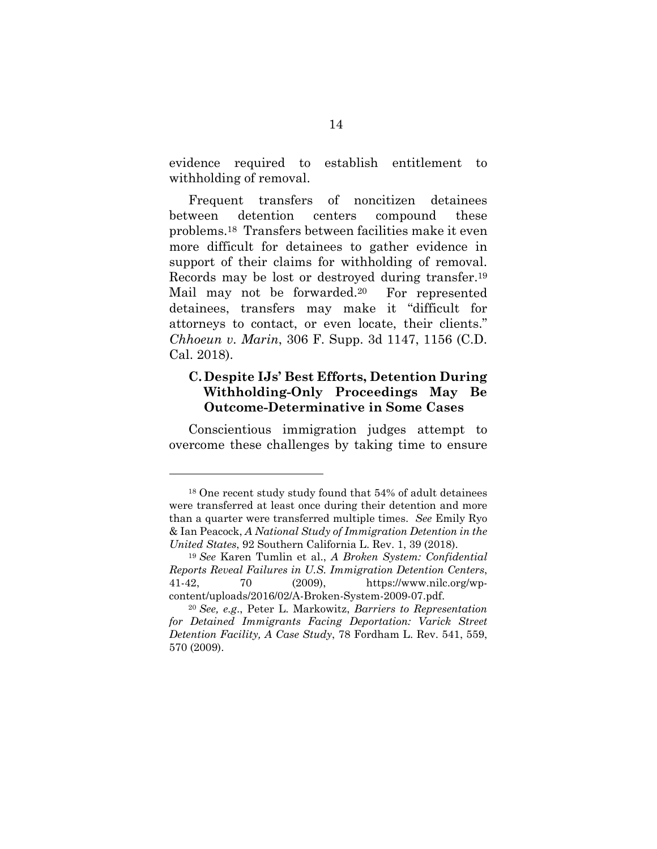evidence required to establish entitlement to withholding of removal.

Frequent transfers of noncitizen detainees between detention centers compound these problems.18 Transfers between facilities make it even more difficult for detainees to gather evidence in support of their claims for withholding of removal. Records may be lost or destroyed during transfer.19 Mail may not be forwarded.<sup>20</sup> For represented detainees, transfers may make it "difficult for attorneys to contact, or even locate, their clients." *Chhoeun v. Marin*, 306 F. Supp. 3d 1147, 1156 (C.D. Cal. 2018).

### **C. Despite IJs' Best Efforts, Detention During Withholding-Only Proceedings May Be Outcome-Determinative in Some Cases**

Conscientious immigration judges attempt to overcome these challenges by taking time to ensure

<sup>18</sup> One recent study study found that 54% of adult detainees were transferred at least once during their detention and more than a quarter were transferred multiple times. *See* Emily Ryo & Ian Peacock, *A National Study of Immigration Detention in the United States*, 92 Southern California L. Rev. 1, 39 (2018).

<sup>19</sup> *See* Karen Tumlin et al., *A Broken System: Confidential Reports Reveal Failures in U.S. Immigration Detention Centers*, 41-42, 70 (2009), https://www.nilc.org/wpcontent/uploads/2016/02/A-Broken-System-2009-07.pdf.

<sup>20</sup> *See, e.g*., Peter L. Markowitz, *Barriers to Representation for Detained Immigrants Facing Deportation: Varick Street Detention Facility, A Case Study*, 78 Fordham L. Rev. 541, 559, 570 (2009).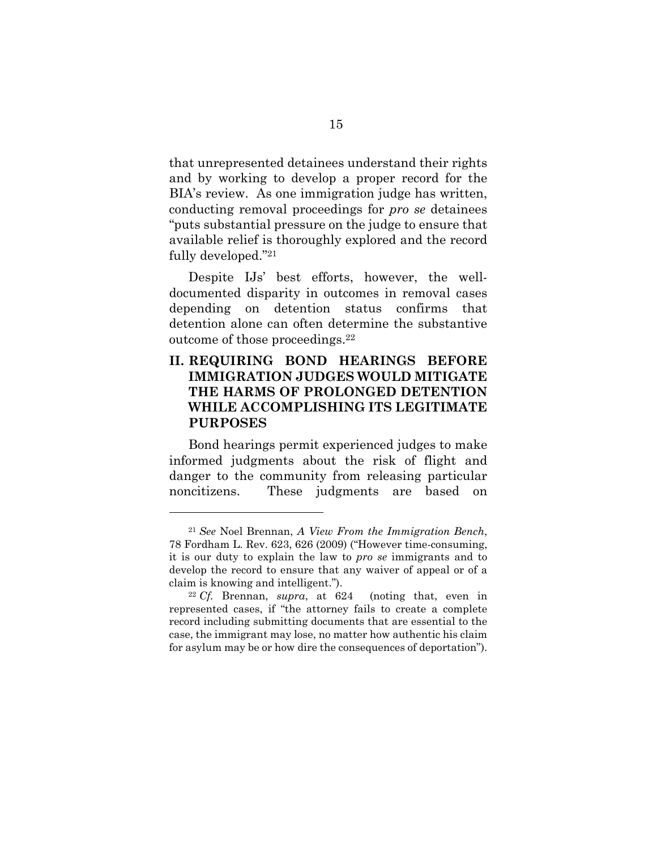that unrepresented detainees understand their rights and by working to develop a proper record for the BIA's review. As one immigration judge has written, conducting removal proceedings for *pro se* detainees "puts substantial pressure on the judge to ensure that available relief is thoroughly explored and the record fully developed."21

Despite IJs' best efforts, however, the welldocumented disparity in outcomes in removal cases depending on detention status confirms that detention alone can often determine the substantive outcome of those proceedings.22

### **II. REQUIRING BOND HEARINGS BEFORE IMMIGRATION JUDGES WOULD MITIGATE THE HARMS OF PROLONGED DETENTION WHILE ACCOMPLISHING ITS LEGITIMATE PURPOSES**

Bond hearings permit experienced judges to make informed judgments about the risk of flight and danger to the community from releasing particular noncitizens. These judgments are based on

 $\overline{a}$ 

<sup>21</sup> *See* Noel Brennan, *A View From the Immigration Bench*, 78 Fordham L. Rev. 623, 626 (2009) ("However time-consuming, it is our duty to explain the law to *pro se* immigrants and to develop the record to ensure that any waiver of appeal or of a claim is knowing and intelligent."). 22 *Cf.* Brennan, *supra*, at 624 (noting that, even in

represented cases, if "the attorney fails to create a complete record including submitting documents that are essential to the case, the immigrant may lose, no matter how authentic his claim for asylum may be or how dire the consequences of deportation").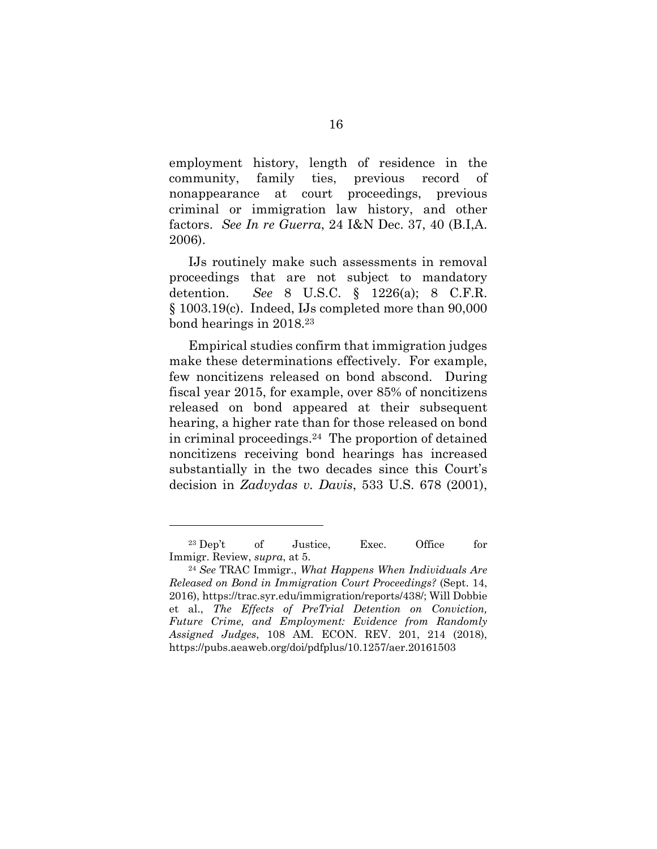employment history, length of residence in the community, family ties, previous record of nonappearance at court proceedings, previous criminal or immigration law history, and other factors. *See In re Guerra*, 24 I&N Dec. 37, 40 (B.I,A. 2006).

IJs routinely make such assessments in removal proceedings that are not subject to mandatory detention. *See* 8 U.S.C. § 1226(a); 8 C.F.R. § 1003.19(c). Indeed, IJs completed more than 90,000 bond hearings in 2018.23

Empirical studies confirm that immigration judges make these determinations effectively. For example, few noncitizens released on bond abscond. During fiscal year 2015, for example, over 85% of noncitizens released on bond appeared at their subsequent hearing, a higher rate than for those released on bond in criminal proceedings.24 The proportion of detained noncitizens receiving bond hearings has increased substantially in the two decades since this Court's decision in *Zadvydas v. Davis*, 533 U.S. 678 (2001),

 $\overline{a}$ 

<sup>&</sup>lt;sup>23</sup> Dep't of Justice, Exec. Office for

Immigr. Review, *supra*, at 5. 24 *See* TRAC Immigr., *What Happens When Individuals Are Released on Bond in Immigration Court Proceedings?* (Sept. 14, 2016), https://trac.syr.edu/immigration/reports/438/; Will Dobbie et al., *The Effects of PreTrial Detention on Conviction, Future Crime, and Employment: Evidence from Randomly Assigned Judges*, 108 AM. ECON. REV. 201, 214 (2018), https://pubs.aeaweb.org/doi/pdfplus/10.1257/aer.20161503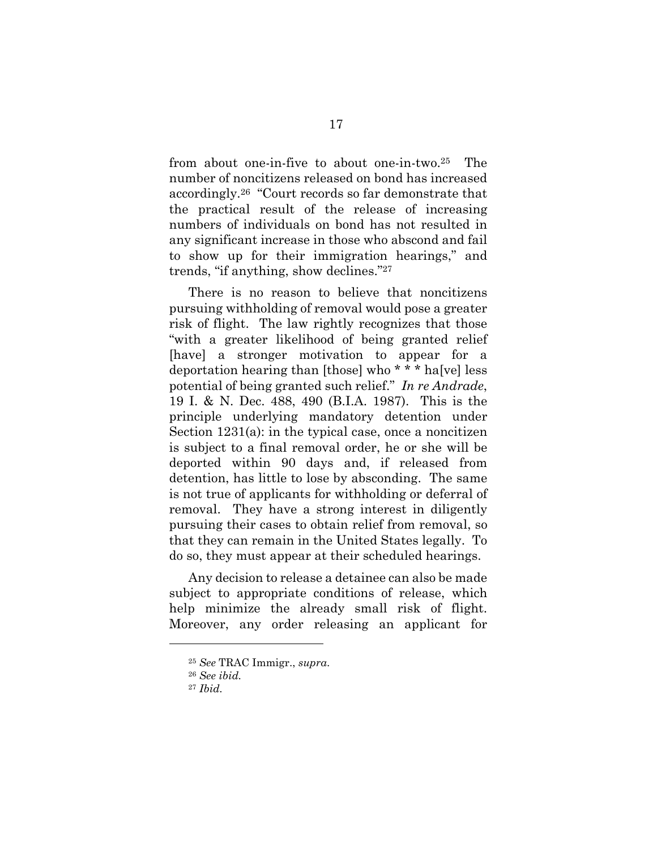from about one-in-five to about one-in-two.25 The number of noncitizens released on bond has increased accordingly.26 "Court records so far demonstrate that the practical result of the release of increasing numbers of individuals on bond has not resulted in any significant increase in those who abscond and fail to show up for their immigration hearings," and trends, "if anything, show declines."27

There is no reason to believe that noncitizens pursuing withholding of removal would pose a greater risk of flight. The law rightly recognizes that those "with a greater likelihood of being granted relief [have] a stronger motivation to appear for a deportation hearing than [those] who \* \* \* ha[ve] less potential of being granted such relief." *In re Andrade*, 19 I. & N. Dec. 488, 490 (B.I.A. 1987). This is the principle underlying mandatory detention under Section 1231(a): in the typical case, once a noncitizen is subject to a final removal order, he or she will be deported within 90 days and, if released from detention, has little to lose by absconding. The same is not true of applicants for withholding or deferral of removal. They have a strong interest in diligently pursuing their cases to obtain relief from removal, so that they can remain in the United States legally. To do so, they must appear at their scheduled hearings.

Any decision to release a detainee can also be made subject to appropriate conditions of release, which help minimize the already small risk of flight. Moreover, any order releasing an applicant for

<sup>25</sup> *See* TRAC Immigr., *supra*. 26 *See ibid.*

<sup>27</sup> *Ibid.*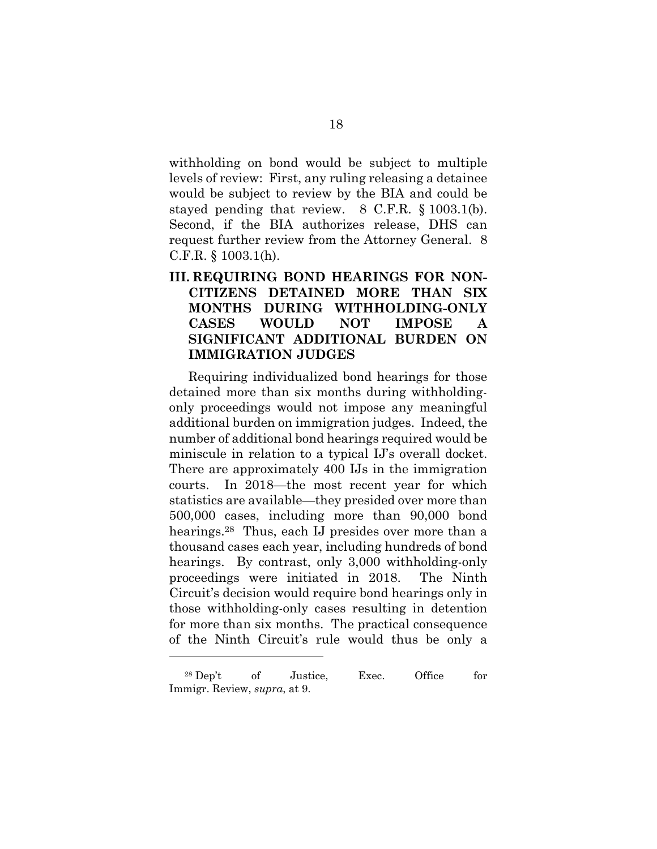withholding on bond would be subject to multiple levels of review: First, any ruling releasing a detainee would be subject to review by the BIA and could be stayed pending that review. 8 C.F.R. § 1003.1(b). Second, if the BIA authorizes release, DHS can request further review from the Attorney General. 8 C.F.R. § 1003.1(h).

## **III. REQUIRING BOND HEARINGS FOR NON-CITIZENS DETAINED MORE THAN SIX MONTHS DURING WITHHOLDING-ONLY CASES WOULD NOT IMPOSE A SIGNIFICANT ADDITIONAL BURDEN ON IMMIGRATION JUDGES**

Requiring individualized bond hearings for those detained more than six months during withholdingonly proceedings would not impose any meaningful additional burden on immigration judges. Indeed, the number of additional bond hearings required would be miniscule in relation to a typical IJ's overall docket. There are approximately 400 IJs in the immigration courts. In 2018—the most recent year for which statistics are available—they presided over more than 500,000 cases, including more than 90,000 bond hearings.<sup>28</sup> Thus, each IJ presides over more than a thousand cases each year, including hundreds of bond hearings. By contrast, only 3,000 withholding-only proceedings were initiated in 2018. The Ninth Circuit's decision would require bond hearings only in those withholding-only cases resulting in detention for more than six months. The practical consequence of the Ninth Circuit's rule would thus be only a

 $\overline{a}$ 

<sup>28</sup> Dep't of Justice, Exec. Office for Immigr. Review, *supra*, at 9.